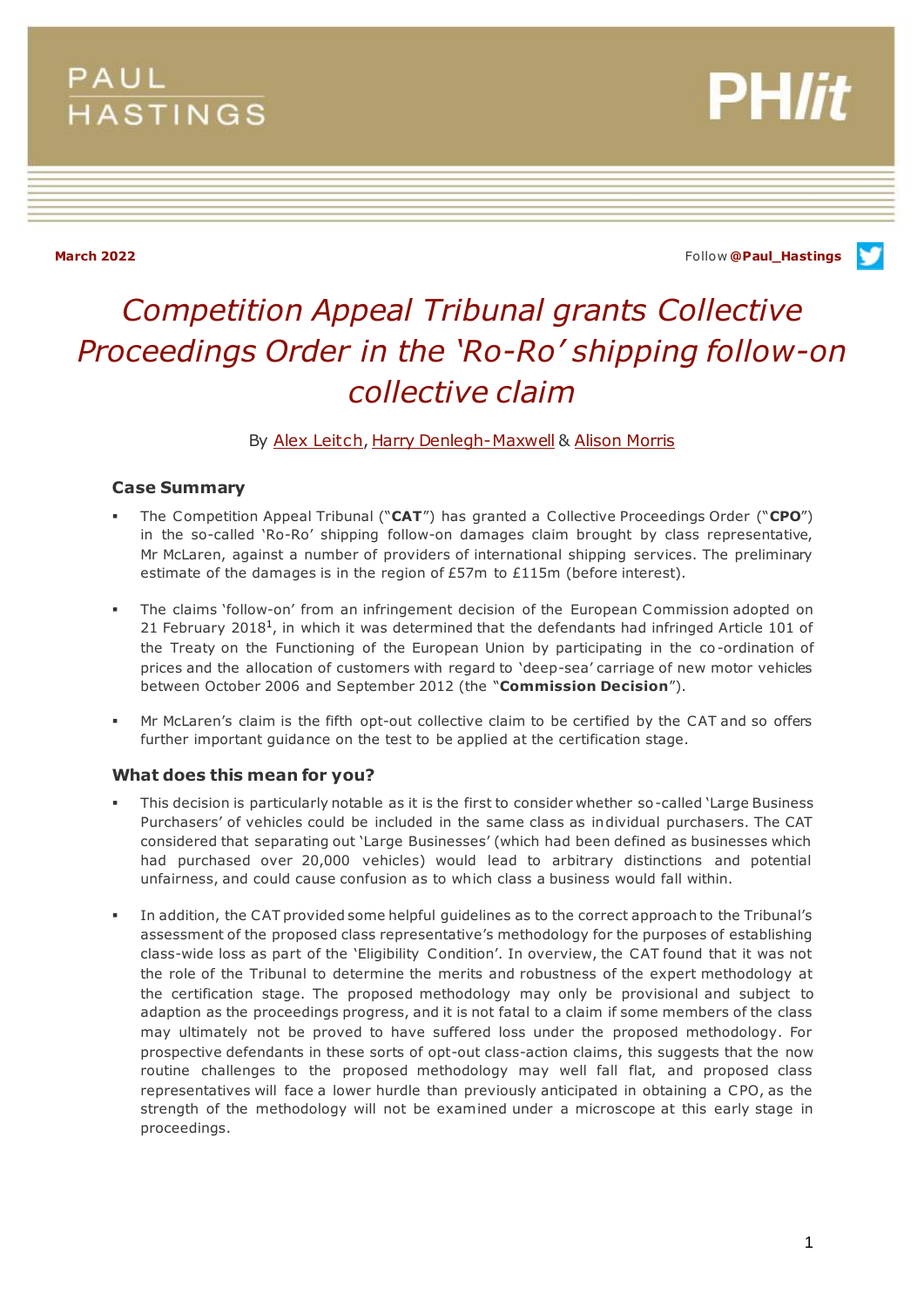## **PAUL HASTINGS**

**March 2022** Follow **[@Paul\\_Hastings](http://twitter.com/Paul_Hastings)**

**PH/it** 

# *Competition Appeal Tribunal grants Collective Proceedings Order in the 'Ro-Ro' shipping follow-on collective claim*

By [Alex Leitch](https://www.paulhastings.com/professionals/alexleitch)[, Harry Denlegh-Maxwell](https://www.paulhastings.com/professionals/harrydenlegh-maxwell) & [Alison Morris](https://www.paulhastings.com/professionals/details/alisonmorris)

## **Case Summary**

- The Competition Appeal Tribunal ("**CAT**") has granted a Collective Proceedings Order ("**CPO**") in the so-called 'Ro-Ro' shipping follow-on damages claim brought by class representative, Mr McLaren, against a number of providers of international shipping services. The preliminary estimate of the damages is in the region of £57m to £115m (before interest).
- The claims 'follow-on' from an infringement decision of the European Commission adopted on 21 February 2018<sup>1</sup>, in which it was determined that the defendants had infringed Article 101 of the Treaty on the Functioning of the European Union by participating in the co -ordination of prices and the allocation of customers with regard to 'deep-sea' carriage of new motor vehicles between October 2006 and September 2012 (the "**Commission Decision**").
- Mr McLaren's claim is the fifth opt-out collective claim to be certified by the CAT and so offers further important guidance on the test to be applied at the certification stage.

## **What does this mean for you?**

- This decision is particularly notable as it is the first to consider whether so-called 'Large Business Purchasers' of vehicles could be included in the same class as individual purchasers. The CAT considered that separating out 'Large Businesses' (which had been defined as businesses which had purchased over 20,000 vehicles) would lead to arbitrary distinctions and potential unfairness, and could cause confusion as to which class a business would fall within.
- In addition, the CAT provided some helpful guidelines as to the correct approach to the Tribunal's assessment of the proposed class representative's methodology for the purposes of establishing class-wide loss as part of the 'Eligibility Condition'. In overview, the CAT found that it was not the role of the Tribunal to determine the merits and robustness of the expert methodology at the certification stage. The proposed methodology may only be provisional and subject to adaption as the proceedings progress, and it is not fatal to a claim if some members of the class may ultimately not be proved to have suffered loss under the proposed methodology. For prospective defendants in these sorts of opt-out class-action claims, this suggests that the now routine challenges to the proposed methodology may well fall flat, and proposed class representatives will face a lower hurdle than previously anticipated in obtaining a CPO, as the strength of the methodology will not be examined under a microscope at this early stage in proceedings.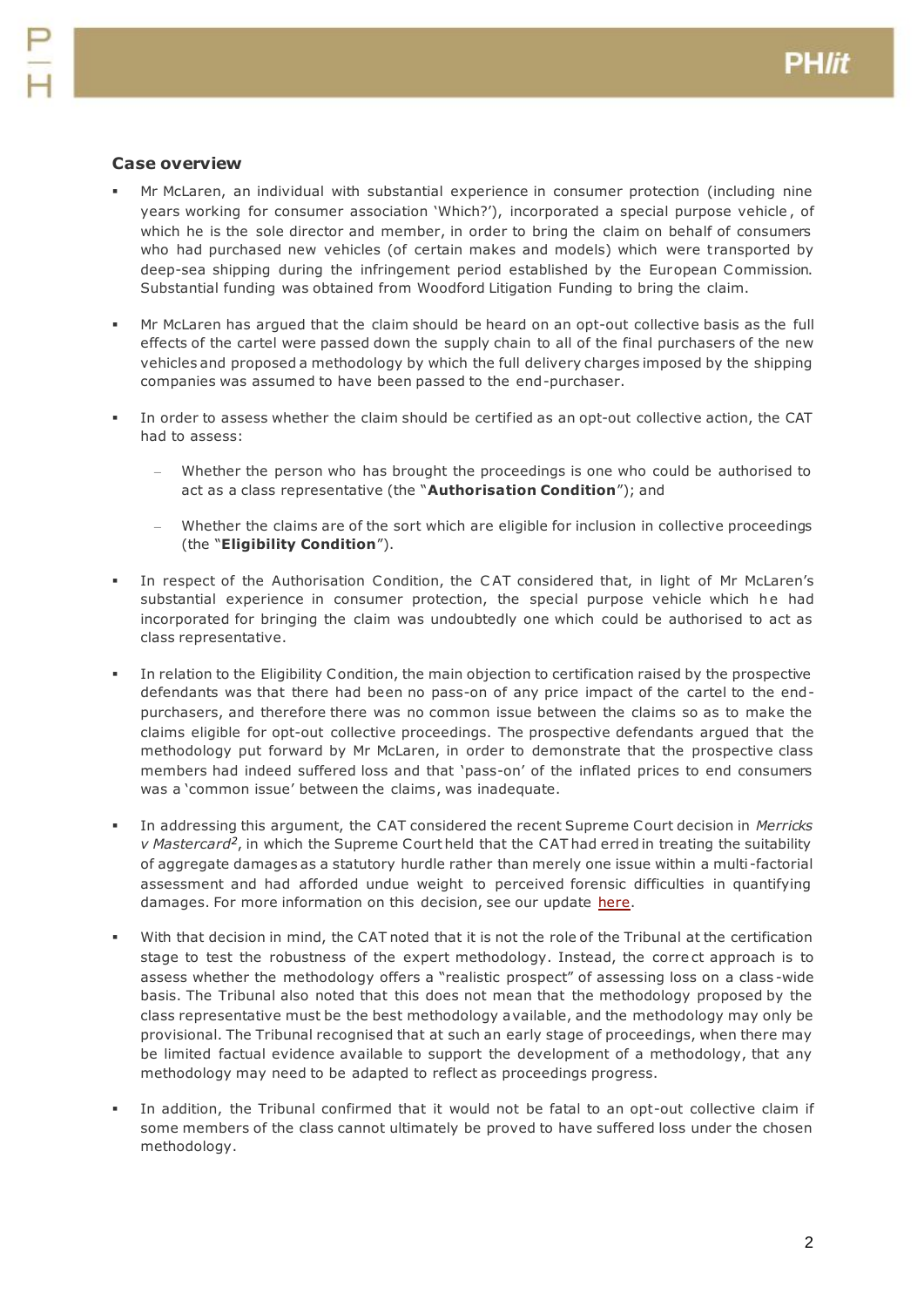### **Case overview**

- Mr McLaren, an individual with substantial experience in consumer protection (including nine years working for consumer association 'Which?'), incorporated a special purpose vehicle , of which he is the sole director and member, in order to bring the claim on behalf of consumers who had purchased new vehicles (of certain makes and models) which were transported by deep-sea shipping during the infringement period established by the European Commission. Substantial funding was obtained from Woodford Litigation Funding to bring the claim.
- Mr McLaren has argued that the claim should be heard on an opt-out collective basis as the full effects of the cartel were passed down the supply chain to all of the final purchasers of the new vehicles and proposed a methodology by which the full delivery charges imposed by the shipping companies was assumed to have been passed to the end-purchaser.
- In order to assess whether the claim should be certified as an opt-out collective action, the CAT had to assess:
	- Whether the person who has brought the proceedings is one who could be authorised to act as a class representative (the "**Authorisation Condition**"); and
	- Whether the claims are of the sort which are eligible for inclusion in collective proceedings (the "**Eligibility Condition**").
- In respect of the Authorisation Condition, the C AT considered that, in light of Mr McLaren's substantial experience in consumer protection, the special purpose vehicle which he had incorporated for bringing the claim was undoubtedly one which could be authorised to act as class representative.
- In relation to the Eligibility Condition, the main objection to certification raised by the prospective defendants was that there had been no pass-on of any price impact of the cartel to the endpurchasers, and therefore there was no common issue between the claims so as to make the claims eligible for opt-out collective proceedings. The prospective defendants argued that the methodology put forward by Mr McLaren, in order to demonstrate that the prospective class members had indeed suffered loss and that 'pass-on' of the inflated prices to end consumers was a 'common issue' between the claims, was inadequate.
- In addressing this argument, the CAT considered the recent Supreme Court decision in *Merricks*  v Mastercard<sup>2</sup>, in which the Supreme Court held that the CAT had erred in treating the suitability of aggregate damages as a statutory hurdle rather than merely one issue within a multi -factorial assessment and had afforded undue weight to perceived forensic difficulties in quantifying damages. For more information on this decision, see our update [here.](https://www.paulhastings.com/insights/phlit-the-london-litigation-blog/december-2020-defendant-friendly-guidance-on-security-for-costs-supreme#Fourth)
- With that decision in mind, the CAT noted that it is not the role of the Tribunal at the certification stage to test the robustness of the expert methodology. Instead, the correct approach is to assess whether the methodology offers a "realistic prospect" of assessing loss on a class -wide basis. The Tribunal also noted that this does not mean that the methodology proposed by the class representative must be the best methodology available, and the methodology may only be provisional. The Tribunal recognised that at such an early stage of proceedings, when there may be limited factual evidence available to support the development of a methodology, that any methodology may need to be adapted to reflect as proceedings progress.
- In addition, the Tribunal confirmed that it would not be fatal to an opt-out collective claim if some members of the class cannot ultimately be proved to have suffered loss under the chosen methodology.